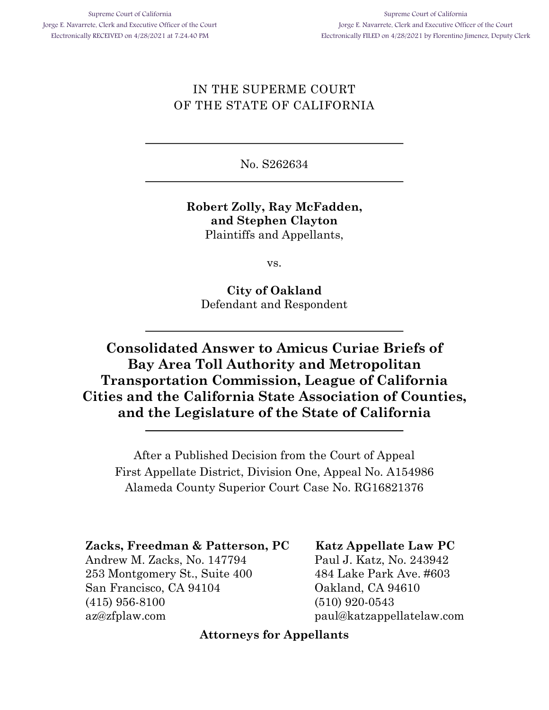## IN THE SUPERME COURT OF THE STATE OF CALIFORNIA

No. S262634

### **Robert Zolly, Ray McFadden, and Stephen Clayton** Plaintiffs and Appellants,

vs.

**City of Oakland** Defendant and Respondent

# **Consolidated Answer to Amicus Curiae Briefs of Bay Area Toll Authority and Metropolitan Transportation Commission, League of California Cities and the California State Association of Counties, and the Legislature of the State of California**

After a Published Decision from the Court of Appeal First Appellate District, Division One, Appeal No. A154986 Alameda County Superior Court Case No. RG16821376

## **Zacks, Freedman & Patterson, PC**

Andrew M. Zacks, No. 147794 253 Montgomery St., Suite 400 San Francisco, CA 94104 (415) 956-8100 az@zfplaw.com

**Katz Appellate Law PC** Paul J. Katz, No. 243942 484 Lake Park Ave. #603 Oakland, CA 94610 (510) 920-0543 paul@katzappellatelaw.com

### **Attorneys for Appellants**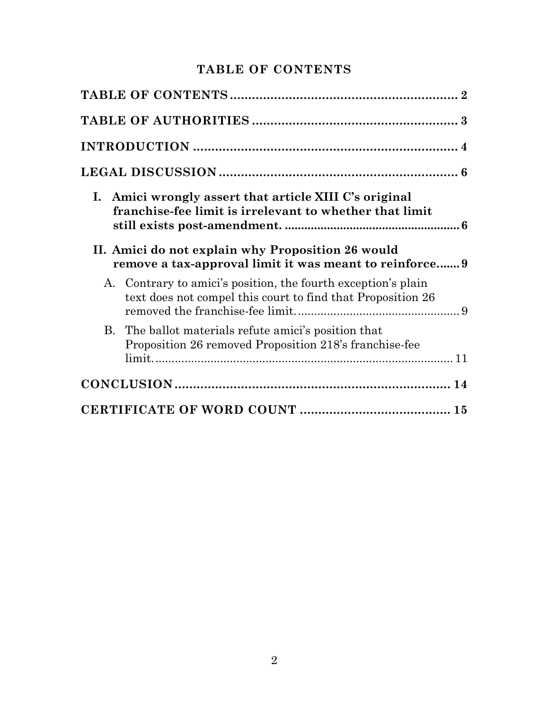## **TABLE OF CONTENTS**

|    | I. Amici wrongly assert that article XIII C's original<br>franchise-fee limit is irrelevant to whether that limit<br>II. Amici do not explain why Proposition 26 would |  |
|----|------------------------------------------------------------------------------------------------------------------------------------------------------------------------|--|
|    | remove a tax-approval limit it was meant to reinforce 9                                                                                                                |  |
| A. | Contrary to amici's position, the fourth exception's plain<br>text does not compel this court to find that Proposition 26                                              |  |
|    | B. The ballot materials refute amici's position that<br>Proposition 26 removed Proposition 218's franchise-fee                                                         |  |
|    |                                                                                                                                                                        |  |
|    |                                                                                                                                                                        |  |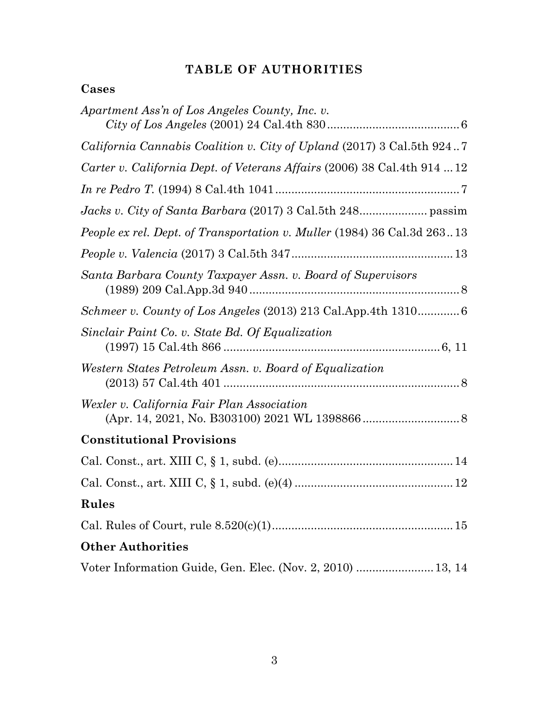## **TABLE OF AUTHORITIES**

## **Cases**

| Apartment Ass'n of Los Angeles County, Inc. v.                               |
|------------------------------------------------------------------------------|
| <i>California Cannabis Coalition v. City of Upland (2017)</i> 3 Cal.5th 9247 |
| Carter v. California Dept. of Veterans Affairs (2006) 38 Cal.4th 914 12      |
|                                                                              |
|                                                                              |
| People ex rel. Dept. of Transportation v. Muller (1984) 36 Cal.3d 26313      |
|                                                                              |
| Santa Barbara County Taxpayer Assn. v. Board of Supervisors                  |
| Schmeer v. County of Los Angeles (2013) 213 Cal.App.4th 1310 6               |
| Sinclair Paint Co. v. State Bd. Of Equalization                              |
| Western States Petroleum Assn. v. Board of Equalization                      |
| Wexler v. California Fair Plan Association                                   |
| <b>Constitutional Provisions</b>                                             |
|                                                                              |
|                                                                              |
| Rules                                                                        |
|                                                                              |
| <b>Other Authorities</b>                                                     |
| Voter Information Guide, Gen. Elec. (Nov. 2, 2010)  13, 14                   |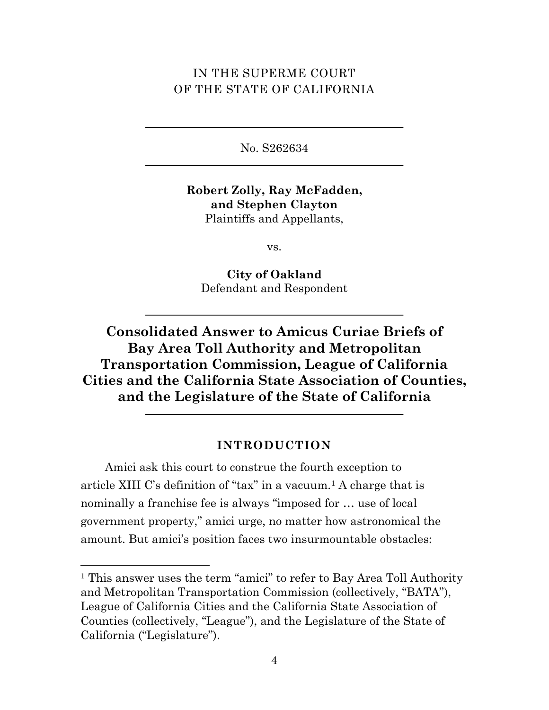## IN THE SUPERME COURT OF THE STATE OF CALIFORNIA

No. S262634

**Robert Zolly, Ray McFadden, and Stephen Clayton** Plaintiffs and Appellants,

vs.

**City of Oakland** Defendant and Respondent

# **Consolidated Answer to Amicus Curiae Briefs of Bay Area Toll Authority and Metropolitan Transportation Commission, League of California Cities and the California State Association of Counties, and the Legislature of the State of California**

### **INTRODUCTION**

Amici ask this court to construe the fourth exception to article XIII C's definition of "tax" in a vacuum.<sup>1</sup> A charge that is nominally a franchise fee is always "imposed for … use of local government property," amici urge, no matter how astronomical the amount. But amici's position faces two insurmountable obstacles:

<sup>&</sup>lt;sup>1</sup> This answer uses the term "amici" to refer to Bay Area Toll Authority and Metropolitan Transportation Commission (collectively, "BATA"), League of California Cities and the California State Association of Counties (collectively, "League"), and the Legislature of the State of California ("Legislature").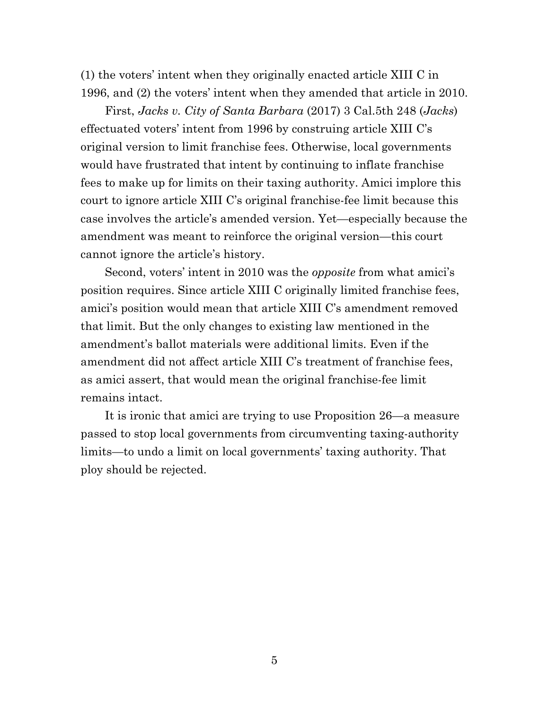(1) the voters' intent when they originally enacted article XIII C in 1996, and (2) the voters' intent when they amended that article in 2010.

First, *Jacks v. City of Santa Barbara* (2017) 3 Cal.5th 248 (*Jacks*) effectuated voters' intent from 1996 by construing article XIII C's original version to limit franchise fees. Otherwise, local governments would have frustrated that intent by continuing to inflate franchise fees to make up for limits on their taxing authority. Amici implore this court to ignore article XIII C's original franchise-fee limit because this case involves the article's amended version. Yet—especially because the amendment was meant to reinforce the original version—this court cannot ignore the article's history.

Second, voters' intent in 2010 was the *opposite* from what amici's position requires. Since article XIII C originally limited franchise fees, amici's position would mean that article XIII C's amendment removed that limit. But the only changes to existing law mentioned in the amendment's ballot materials were additional limits. Even if the amendment did not affect article XIII C's treatment of franchise fees, as amici assert, that would mean the original franchise-fee limit remains intact.

It is ironic that amici are trying to use Proposition 26—a measure passed to stop local governments from circumventing taxing-authority limits—to undo a limit on local governments' taxing authority. That ploy should be rejected.

5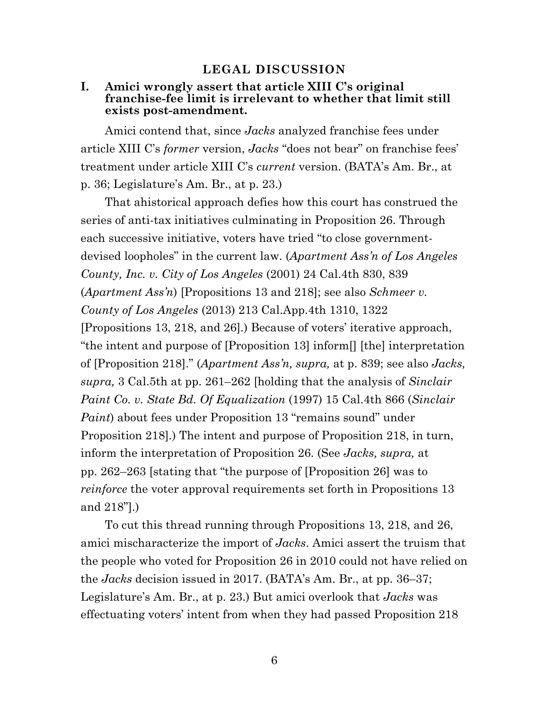#### **LEGAL DISCUSSION**

#### **I. Amici wrongly assert that article XIII C's original franchise-fee limit is irrelevant to whether that limit still exists post-amendment.**

Amici contend that, since *Jacks* analyzed franchise fees under article XIII C's *former* version, *Jacks* "does not bear" on franchise fees' treatment under article XIII C's *current* version. (BATA's Am. Br., at p. 36; Legislature's Am. Br., at p. 23.)

That ahistorical approach defies how this court has construed the series of anti-tax initiatives culminating in Proposition 26. Through each successive initiative, voters have tried "to close governmentdevised loopholes" in the current law. (*Apartment Ass'n of Los Angeles County, Inc. v. City of Los Angeles* (2001) 24 Cal.4th 830, 839 (*Apartment Ass'n*) [Propositions 13 and 218]; see also *Schmeer v. County of Los Angeles* (2013) 213 Cal.App.4th 1310, 1322 [Propositions 13, 218, and 26].) Because of voters' iterative approach, "the intent and purpose of [Proposition 13] inform[] [the] interpretation of [Proposition 218]." (*Apartment Ass'n, supra,* at p. 839; see also *Jacks, supra,* 3 Cal.5th at pp. 261–262 [holding that the analysis of *Sinclair Paint Co. v. State Bd. Of Equalization* (1997) 15 Cal.4th 866 (*Sinclair Paint*) about fees under Proposition 13 "remains sound" under Proposition 218].) The intent and purpose of Proposition 218, in turn, inform the interpretation of Proposition 26. (See *Jacks, supra,* at pp. 262–263 [stating that "the purpose of [Proposition 26] was to *reinforce* the voter approval requirements set forth in Propositions 13 and 218"].)

To cut this thread running through Propositions 13, 218, and 26, amici mischaracterize the import of *Jacks*. Amici assert the truism that the people who voted for Proposition 26 in 2010 could not have relied on the *Jacks* decision issued in 2017. (BATA's Am. Br., at pp. 36–37; Legislature's Am. Br., at p. 23.) But amici overlook that *Jacks* was effectuating voters' intent from when they had passed Proposition 218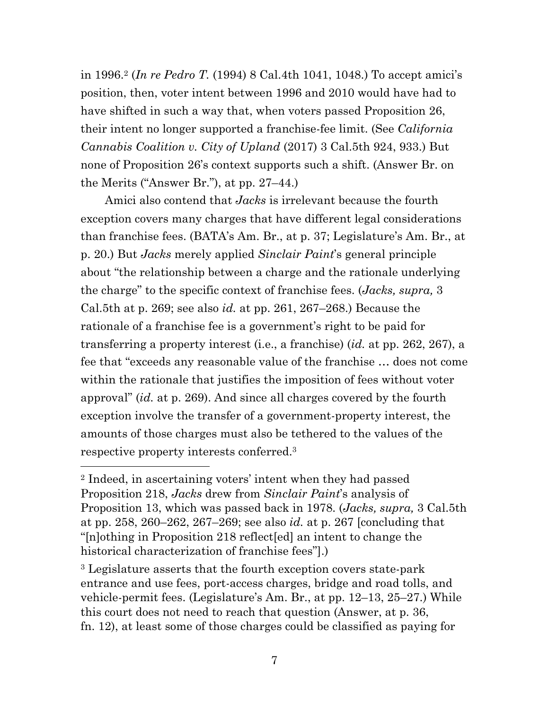in 1996.2 (*In re Pedro T.* (1994) 8 Cal.4th 1041, 1048.) To accept amici's position, then, voter intent between 1996 and 2010 would have had to have shifted in such a way that, when voters passed Proposition 26, their intent no longer supported a franchise-fee limit. (See *California Cannabis Coalition v. City of Upland* (2017) 3 Cal.5th 924, 933.) But none of Proposition 26's context supports such a shift. (Answer Br. on the Merits ("Answer Br."), at pp. 27–44.)

Amici also contend that *Jacks* is irrelevant because the fourth exception covers many charges that have different legal considerations than franchise fees. (BATA's Am. Br., at p. 37; Legislature's Am. Br., at p. 20.) But *Jacks* merely applied *Sinclair Paint*'s general principle about "the relationship between a charge and the rationale underlying the charge" to the specific context of franchise fees. (*Jacks, supra,* 3 Cal.5th at p. 269; see also *id.* at pp. 261, 267–268.) Because the rationale of a franchise fee is a government's right to be paid for transferring a property interest (i.e., a franchise) (*id.* at pp. 262, 267), a fee that "exceeds any reasonable value of the franchise … does not come within the rationale that justifies the imposition of fees without voter approval" (*id.* at p. 269). And since all charges covered by the fourth exception involve the transfer of a government-property interest, the amounts of those charges must also be tethered to the values of the respective property interests conferred.3

<sup>2</sup> Indeed, in ascertaining voters' intent when they had passed Proposition 218, *Jacks* drew from *Sinclair Paint*'s analysis of Proposition 13, which was passed back in 1978. (*Jacks, supra,* 3 Cal.5th at pp. 258, 260–262, 267–269; see also *id.* at p. 267 [concluding that "[n]othing in Proposition 218 reflect[ed] an intent to change the historical characterization of franchise fees"].)

<sup>3</sup> Legislature asserts that the fourth exception covers state-park entrance and use fees, port-access charges, bridge and road tolls, and vehicle-permit fees. (Legislature's Am. Br., at pp. 12–13, 25–27.) While this court does not need to reach that question (Answer, at p. 36, fn. 12), at least some of those charges could be classified as paying for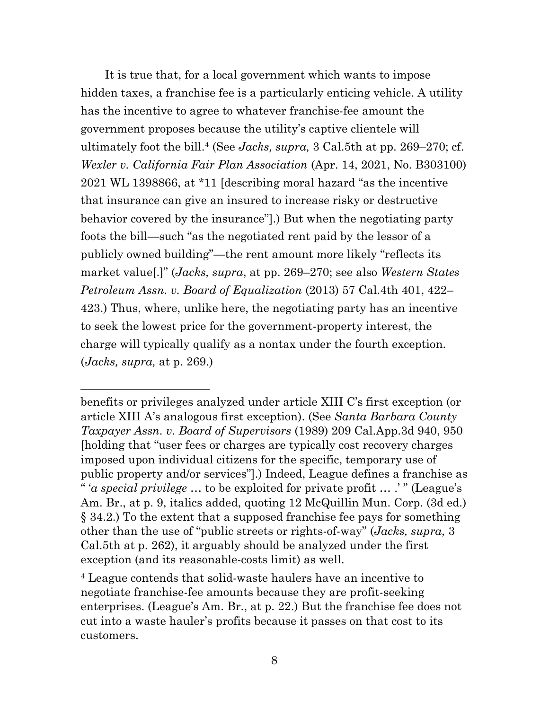It is true that, for a local government which wants to impose hidden taxes, a franchise fee is a particularly enticing vehicle. A utility has the incentive to agree to whatever franchise-fee amount the government proposes because the utility's captive clientele will ultimately foot the bill.4 (See *Jacks, supra,* 3 Cal.5th at pp. 269–270; cf. *Wexler v. California Fair Plan Association* (Apr. 14, 2021, No. B303100) 2021 WL 1398866, at \*11 [describing moral hazard "as the incentive that insurance can give an insured to increase risky or destructive behavior covered by the insurance"].) But when the negotiating party foots the bill—such "as the negotiated rent paid by the lessor of a publicly owned building"—the rent amount more likely "reflects its market value[.]" (*Jacks, supra*, at pp. 269–270; see also *Western States Petroleum Assn. v. Board of Equalization* (2013) 57 Cal.4th 401, 422– 423.) Thus, where, unlike here, the negotiating party has an incentive to seek the lowest price for the government-property interest, the charge will typically qualify as a nontax under the fourth exception. (*Jacks, supra,* at p. 269.)

benefits or privileges analyzed under article XIII C's first exception (or article XIII A's analogous first exception). (See *Santa Barbara County Taxpayer Assn. v. Board of Supervisors* (1989) 209 Cal.App.3d 940, 950 [holding that "user fees or charges are typically cost recovery charges imposed upon individual citizens for the specific, temporary use of public property and/or services"].) Indeed, League defines a franchise as " '*a special privilege* … to be exploited for private profit … .' " (League's Am. Br., at p. 9, italics added, quoting 12 McQuillin Mun. Corp. (3d ed.) § 34.2.) To the extent that a supposed franchise fee pays for something other than the use of "public streets or rights-of-way" (*Jacks, supra,* 3 Cal.5th at p. 262), it arguably should be analyzed under the first exception (and its reasonable-costs limit) as well.

<sup>4</sup> League contends that solid-waste haulers have an incentive to negotiate franchise-fee amounts because they are profit-seeking enterprises. (League's Am. Br., at p. 22.) But the franchise fee does not cut into a waste hauler's profits because it passes on that cost to its customers.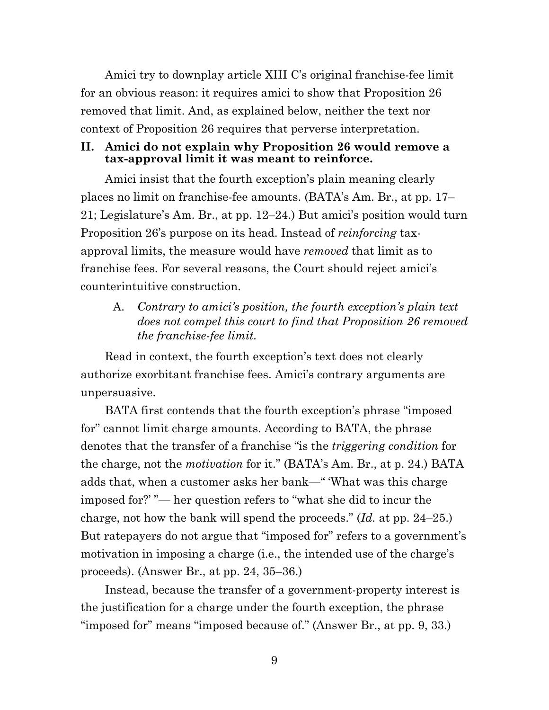Amici try to downplay article XIII C's original franchise-fee limit for an obvious reason: it requires amici to show that Proposition 26 removed that limit. And, as explained below, neither the text nor context of Proposition 26 requires that perverse interpretation.

#### **II. Amici do not explain why Proposition 26 would remove a tax-approval limit it was meant to reinforce.**

Amici insist that the fourth exception's plain meaning clearly places no limit on franchise-fee amounts. (BATA's Am. Br., at pp. 17– 21; Legislature's Am. Br., at pp. 12–24.) But amici's position would turn Proposition 26's purpose on its head. Instead of *reinforcing* taxapproval limits, the measure would have *removed* that limit as to franchise fees. For several reasons, the Court should reject amici's counterintuitive construction.

### A. *Contrary to amici's position, the fourth exception's plain text does not compel this court to find that Proposition 26 removed the franchise-fee limit.*

Read in context, the fourth exception's text does not clearly authorize exorbitant franchise fees. Amici's contrary arguments are unpersuasive.

BATA first contends that the fourth exception's phrase "imposed for" cannot limit charge amounts. According to BATA, the phrase denotes that the transfer of a franchise "is the *triggering condition* for the charge, not the *motivation* for it." (BATA's Am. Br., at p. 24.) BATA adds that, when a customer asks her bank—" 'What was this charge imposed for?' "— her question refers to "what she did to incur the charge, not how the bank will spend the proceeds." (*Id.* at pp. 24–25.) But ratepayers do not argue that "imposed for" refers to a government's motivation in imposing a charge (i.e., the intended use of the charge's proceeds). (Answer Br., at pp. 24, 35–36.)

Instead, because the transfer of a government-property interest is the justification for a charge under the fourth exception, the phrase "imposed for" means "imposed because of." (Answer Br., at pp. 9, 33.)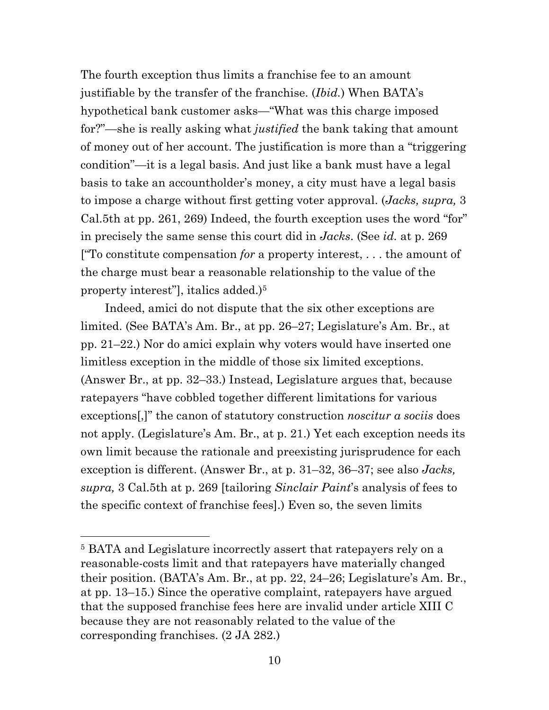The fourth exception thus limits a franchise fee to an amount justifiable by the transfer of the franchise. (*Ibid.*) When BATA's hypothetical bank customer asks—"What was this charge imposed for?"—she is really asking what *justified* the bank taking that amount of money out of her account. The justification is more than a "triggering condition"—it is a legal basis. And just like a bank must have a legal basis to take an accountholder's money, a city must have a legal basis to impose a charge without first getting voter approval. (*Jacks, supra,* 3 Cal.5th at pp. 261, 269) Indeed, the fourth exception uses the word "for" in precisely the same sense this court did in *Jacks*. (See *id.* at p. 269 ["To constitute compensation *for* a property interest, . . . the amount of the charge must bear a reasonable relationship to the value of the property interest", italics added.)<sup>5</sup>

Indeed, amici do not dispute that the six other exceptions are limited. (See BATA's Am. Br., at pp. 26–27; Legislature's Am. Br., at pp. 21–22.) Nor do amici explain why voters would have inserted one limitless exception in the middle of those six limited exceptions. (Answer Br., at pp. 32–33.) Instead, Legislature argues that, because ratepayers "have cobbled together different limitations for various exceptions[,]" the canon of statutory construction *noscitur a sociis* does not apply. (Legislature's Am. Br., at p. 21.) Yet each exception needs its own limit because the rationale and preexisting jurisprudence for each exception is different. (Answer Br., at p. 31–32, 36–37; see also *Jacks, supra,* 3 Cal.5th at p. 269 [tailoring *Sinclair Paint*'s analysis of fees to the specific context of franchise fees].) Even so, the seven limits

<sup>5</sup> BATA and Legislature incorrectly assert that ratepayers rely on a reasonable-costs limit and that ratepayers have materially changed their position. (BATA's Am. Br., at pp. 22, 24–26; Legislature's Am. Br., at pp. 13–15.) Since the operative complaint, ratepayers have argued that the supposed franchise fees here are invalid under article XIII C because they are not reasonably related to the value of the corresponding franchises. (2 JA 282.)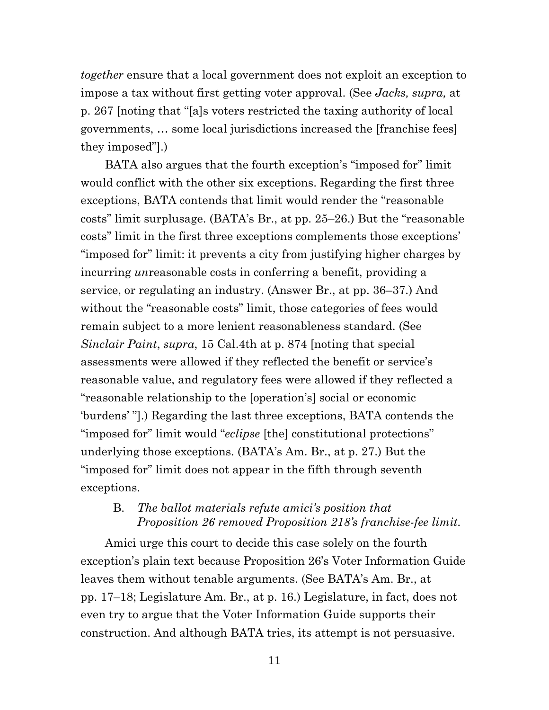*together* ensure that a local government does not exploit an exception to impose a tax without first getting voter approval. (See *Jacks, supra,* at p. 267 [noting that "[a]s voters restricted the taxing authority of local governments, … some local jurisdictions increased the [franchise fees] they imposed"].)

BATA also argues that the fourth exception's "imposed for" limit would conflict with the other six exceptions. Regarding the first three exceptions, BATA contends that limit would render the "reasonable costs" limit surplusage. (BATA's Br., at pp. 25–26.) But the "reasonable costs" limit in the first three exceptions complements those exceptions' "imposed for" limit: it prevents a city from justifying higher charges by incurring *un*reasonable costs in conferring a benefit, providing a service, or regulating an industry. (Answer Br., at pp. 36–37.) And without the "reasonable costs" limit, those categories of fees would remain subject to a more lenient reasonableness standard. (See *Sinclair Paint*, *supra*, 15 Cal.4th at p. 874 [noting that special assessments were allowed if they reflected the benefit or service's reasonable value, and regulatory fees were allowed if they reflected a "reasonable relationship to the [operation's] social or economic 'burdens' "].) Regarding the last three exceptions, BATA contends the "imposed for" limit would "*eclipse* [the] constitutional protections" underlying those exceptions. (BATA's Am. Br., at p. 27.) But the "imposed for" limit does not appear in the fifth through seventh exceptions.

### B. *The ballot materials refute amici's position that Proposition 26 removed Proposition 218's franchise-fee limit.*

Amici urge this court to decide this case solely on the fourth exception's plain text because Proposition 26's Voter Information Guide leaves them without tenable arguments. (See BATA's Am. Br., at pp. 17–18; Legislature Am. Br., at p. 16.) Legislature, in fact, does not even try to argue that the Voter Information Guide supports their construction. And although BATA tries, its attempt is not persuasive.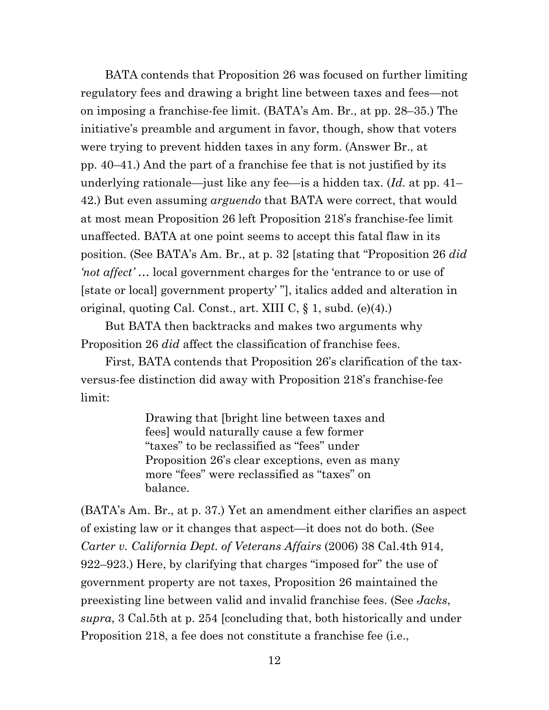BATA contends that Proposition 26 was focused on further limiting regulatory fees and drawing a bright line between taxes and fees—not on imposing a franchise-fee limit. (BATA's Am. Br., at pp. 28–35.) The initiative's preamble and argument in favor, though, show that voters were trying to prevent hidden taxes in any form. (Answer Br., at pp. 40–41.) And the part of a franchise fee that is not justified by its underlying rationale—just like any fee—is a hidden tax. (*Id.* at pp. 41– 42.) But even assuming *arguendo* that BATA were correct, that would at most mean Proposition 26 left Proposition 218's franchise-fee limit unaffected. BATA at one point seems to accept this fatal flaw in its position. (See BATA's Am. Br., at p. 32 [stating that "Proposition 26 *did 'not affect'* … local government charges for the 'entrance to or use of [state or local] government property' "], italics added and alteration in original, quoting Cal. Const., art. XIII C,  $\S$  1, subd. (e)(4).)

But BATA then backtracks and makes two arguments why Proposition 26 *did* affect the classification of franchise fees.

First, BATA contends that Proposition 26's clarification of the taxversus-fee distinction did away with Proposition 218's franchise-fee limit:

> Drawing that [bright line between taxes and fees] would naturally cause a few former "taxes" to be reclassified as "fees" under Proposition 26's clear exceptions, even as many more "fees" were reclassified as "taxes" on balance.

(BATA's Am. Br., at p. 37.) Yet an amendment either clarifies an aspect of existing law or it changes that aspect—it does not do both. (See *Carter v. California Dept. of Veterans Affairs* (2006) 38 Cal.4th 914, 922–923.) Here, by clarifying that charges "imposed for" the use of government property are not taxes, Proposition 26 maintained the preexisting line between valid and invalid franchise fees. (See *Jacks*, *supra*, 3 Cal.5th at p. 254 [concluding that, both historically and under Proposition 218, a fee does not constitute a franchise fee (i.e.,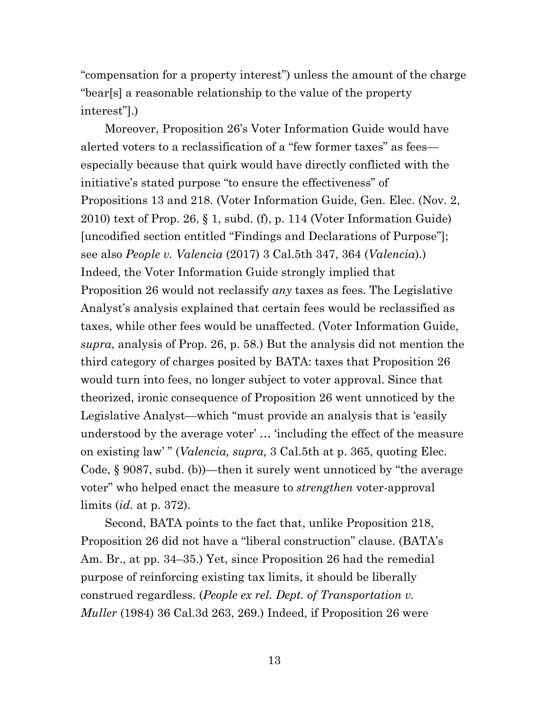"compensation for a property interest") unless the amount of the charge "bear[s] a reasonable relationship to the value of the property interest"].)

Moreover, Proposition 26's Voter Information Guide would have alerted voters to a reclassification of a "few former taxes" as fees especially because that quirk would have directly conflicted with the initiative's stated purpose "to ensure the effectiveness" of Propositions 13 and 218. (Voter Information Guide, Gen. Elec. (Nov. 2, 2010) text of Prop. 26,  $\S$  1, subd. (f), p. 114 (Voter Information Guide) [uncodified section entitled "Findings and Declarations of Purpose"]; see also *People v. Valencia* (2017) 3 Cal.5th 347, 364 (*Valencia*).) Indeed, the Voter Information Guide strongly implied that Proposition 26 would not reclassify *any* taxes as fees. The Legislative Analyst's analysis explained that certain fees would be reclassified as taxes, while other fees would be unaffected. (Voter Information Guide, *supra*, analysis of Prop. 26, p. 58.) But the analysis did not mention the third category of charges posited by BATA: taxes that Proposition 26 would turn into fees, no longer subject to voter approval. Since that theorized, ironic consequence of Proposition 26 went unnoticed by the Legislative Analyst—which "must provide an analysis that is 'easily understood by the average voter' … 'including the effect of the measure on existing law' " (*Valencia, supra,* 3 Cal.5th at p. 365, quoting Elec. Code, § 9087, subd. (b))—then it surely went unnoticed by "the average voter" who helped enact the measure to *strengthen* voter-approval limits (*id.* at p. 372).

Second, BATA points to the fact that, unlike Proposition 218, Proposition 26 did not have a "liberal construction" clause. (BATA's Am. Br., at pp. 34–35.) Yet, since Proposition 26 had the remedial purpose of reinforcing existing tax limits, it should be liberally construed regardless. (*People ex rel. Dept. of Transportation v. Muller* (1984) 36 Cal.3d 263, 269.) Indeed, if Proposition 26 were

13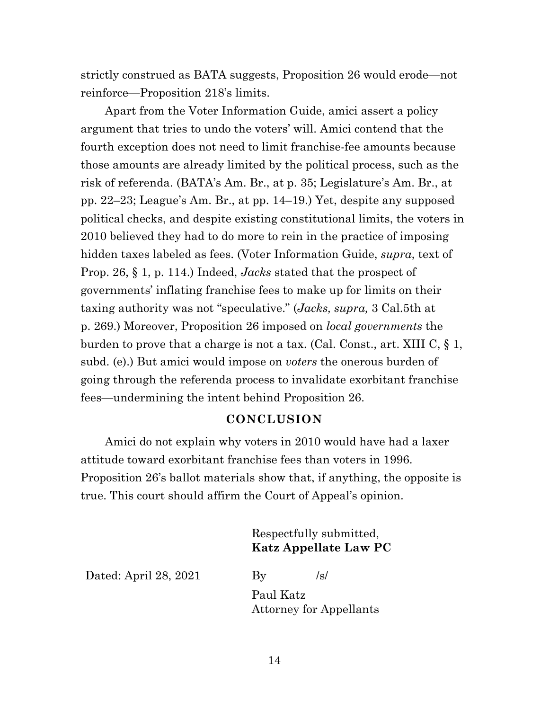strictly construed as BATA suggests, Proposition 26 would erode—not reinforce—Proposition 218's limits.

Apart from the Voter Information Guide, amici assert a policy argument that tries to undo the voters' will. Amici contend that the fourth exception does not need to limit franchise-fee amounts because those amounts are already limited by the political process, such as the risk of referenda. (BATA's Am. Br., at p. 35; Legislature's Am. Br., at pp. 22–23; League's Am. Br., at pp. 14–19.) Yet, despite any supposed political checks, and despite existing constitutional limits, the voters in 2010 believed they had to do more to rein in the practice of imposing hidden taxes labeled as fees. (Voter Information Guide, *supra*, text of Prop. 26, § 1, p. 114.) Indeed, *Jacks* stated that the prospect of governments' inflating franchise fees to make up for limits on their taxing authority was not "speculative." (*Jacks, supra,* 3 Cal.5th at p. 269.) Moreover, Proposition 26 imposed on *local governments* the burden to prove that a charge is not a tax. (Cal. Const., art. XIII C, § 1, subd. (e).) But amici would impose on *voters* the onerous burden of going through the referenda process to invalidate exorbitant franchise fees—undermining the intent behind Proposition 26.

#### **CONCLUSION**

Amici do not explain why voters in 2010 would have had a laxer attitude toward exorbitant franchise fees than voters in 1996. Proposition 26's ballot materials show that, if anything, the opposite is true. This court should affirm the Court of Appeal's opinion.

### Respectfully submitted, **Katz Appellate Law PC**

Dated: April 28, 2021 By  $\frac{|s|}{s}$ 

Paul Katz Attorney for Appellants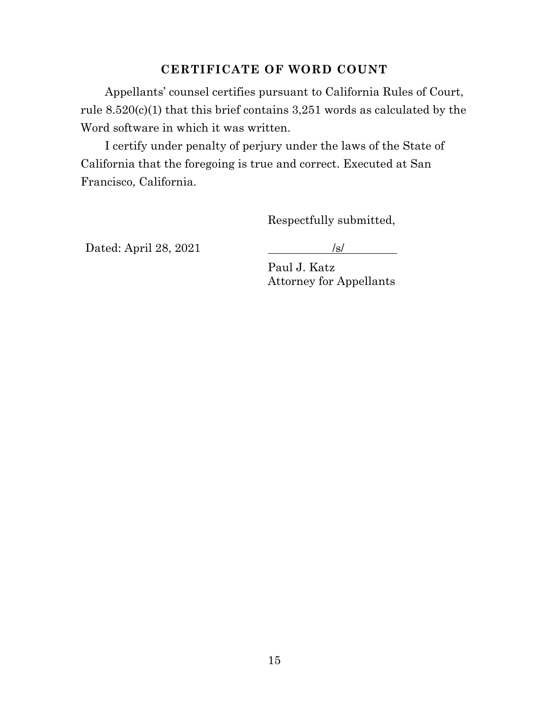### **CERTIFICATE OF WORD COUNT**

Appellants' counsel certifies pursuant to California Rules of Court, rule 8.520(c)(1) that this brief contains 3,251 words as calculated by the Word software in which it was written.

I certify under penalty of perjury under the laws of the State of California that the foregoing is true and correct. Executed at San Francisco, California.

Respectfully submitted,

Dated: April 28, 2021 /s/

Paul J. Katz Attorney for Appellants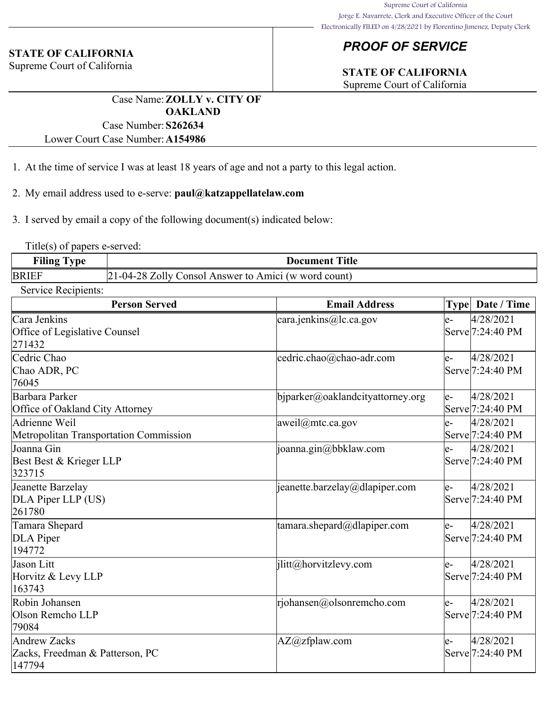## *PROOF OF SERVICE*

#### **STATE OF CALIFORNIA**

Supreme Court of California

## **STATE OF CALIFORNIA**

Supreme Court of California

Case Name:**ZOLLY v. CITY OF OAKLAND** Case Number:**S262634**

Lower Court Case Number:**A154986**

- 1. At the time of service I was at least 18 years of age and not a party to this legal action.
- 2. My email address used to e-serve: **paul@katzappellatelaw.com**

3. I served by email a copy of the following document(s) indicated below:

Title(s) of papers e-served:

| <b>Filing Type</b> | <b>Document Title</b>                                |
|--------------------|------------------------------------------------------|
| <b>BRIEF</b>       | 21-04-28 Zolly Consol Answer to Amici (w word count) |

Service Recipients:

| <b>Person Served</b>                                             | <b>Email Address</b>                 |     | Type Date / Time                           |
|------------------------------------------------------------------|--------------------------------------|-----|--------------------------------------------|
| Cara Jenkins<br>Office of Legislative Counsel<br>271432          | cara.jenkins@lc.ca.gov               | le- | 4/28/2021<br>Serve <sup>[7:24:40</sup> PM  |
| Cedric Chao<br>Chao ADR, PC<br>76045                             | cedric.chao@chao-adr.com             | le- | 4/28/2021<br>Serve <sup>[7:24:40 PM]</sup> |
| Barbara Parker<br>Office of Oakland City Attorney                | bjparker@oaklandcityattorney.org     | le- | 4/28/2021<br>Serve <sup>[7:24:40 PM]</sup> |
| Adrienne Weil<br>Metropolitan Transportation Commission          | [aweil@mtc.ca.gov]                   | le- | 4/28/2021<br>Serve <sup>[7:24:40 PM]</sup> |
| Joanna Gin<br>Best Best & Krieger LLP<br>323715                  | joanna.gin@bbklaw.com                | le- | 4/28/2021<br>Serve <sup>[7:24:40 PM]</sup> |
| Jeanette Barzelay<br>DLA Piper LLP (US)<br>261780                | jeanette.barzelay@dlapiper.com       | le- | 4/28/2021<br>Serve <sup>[7:24:40 PM]</sup> |
| Tamara Shepard<br>DLA Piper<br>194772                            | $\tanar\alpha$ .shepard@dlapiper.com | le- | 4/28/2021<br>Serve <sup>[7:24:40 PM]</sup> |
| Jason Litt<br>Horvitz & Levy LLP<br>163743                       | jlitt@horvitzlevy.com                | le- | 4/28/2021<br>Serve <sup>[7:24:40</sup> PM  |
| Robin Johansen<br>Olson Remcho LLP<br>79084                      | rjohansen@olsonremcho.com            | le- | 4/28/2021<br>Serve <sup>[7:24:40 PM]</sup> |
| <b>Andrew Zacks</b><br>Zacks, Freedman & Patterson, PC<br>147794 | AZ@zfplaw.com                        | e-  | 4/28/2021<br>Serve <sup>[7:24:40</sup> PM  |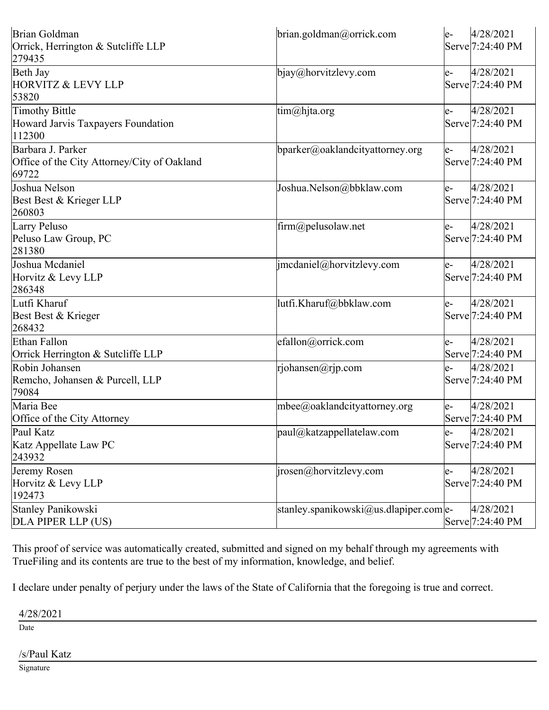| Brian Goldman                               | brian.goldman@orrick.com                     | le-   | 4/28/2021                     |
|---------------------------------------------|----------------------------------------------|-------|-------------------------------|
| Orrick, Herrington & Sutcliffe LLP          |                                              |       | Serve <sup>[7:24:40</sup> PM  |
| 279435                                      |                                              |       |                               |
| Beth Jay                                    | bjay@horvitzlevy.com                         | e-    | 4/28/2021                     |
| <b>HORVITZ &amp; LEVY LLP</b>               |                                              |       | Serve <sup>[7:24:40 PM]</sup> |
| 53820                                       |                                              |       |                               |
| Timothy Bittle                              | tim@hjta.org                                 | $e-$  | 4/28/2021                     |
| Howard Jarvis Taxpayers Foundation          |                                              |       | Serve <sup>[7:24:40</sup> PM  |
| 112300                                      |                                              |       |                               |
| Barbara J. Parker                           | bparker@oaklandcityattorney.org              | $ e-$ | 4/28/2021                     |
| Office of the City Attorney/City of Oakland |                                              |       | Serve <sup>[7:24:40</sup> PM  |
| 69722                                       |                                              |       |                               |
| Joshua Nelson                               | Joshua.Nelson@bbklaw.com                     | e-    | 4/28/2021                     |
| Best Best & Krieger LLP                     |                                              |       | Serve <sup>[7:24:40</sup> PM  |
| 260803                                      |                                              |       |                               |
| Larry Peluso                                | firm@pelusolaw.net                           | e-    | 4/28/2021                     |
| Peluso Law Group, PC                        |                                              |       | Serve 7:24:40 PM              |
| 281380                                      |                                              |       |                               |
| Joshua Mcdaniel                             | jmcdaniel@horvitzlevy.com                    | e-    | 4/28/2021                     |
| Horvitz & Levy LLP                          |                                              |       | Serve 7:24:40 PM              |
| 286348                                      |                                              |       |                               |
| Lutfi Kharuf                                | lutfi.Kharuf@bbklaw.com                      | e-    | 4/28/2021                     |
| Best Best & Krieger                         |                                              |       | Serve <sup>[7:24:40 PM]</sup> |
| 268432                                      |                                              |       |                               |
| Ethan Fallon                                | efallon@orrick.com                           | e-    | 4/28/2021                     |
| Orrick Herrington & Sutcliffe LLP           |                                              |       | Serve 7:24:40 PM              |
| Robin Johansen                              | rjohansen@rjp.com                            | e-    | 4/28/2021                     |
| Remcho, Johansen & Purcell, LLP             |                                              |       | Serve <sup>[7:24:40 PM]</sup> |
| 79084                                       |                                              |       |                               |
| Maria Bee                                   | mbee@oaklandcityattorney.org                 | e-    | 4/28/2021                     |
| Office of the City Attorney                 |                                              |       | Serve <sup>[7:24:40</sup> PM  |
| Paul Katz                                   | $\sqrt{\text{paul}(a)}$ katzappellatelaw.com | le-   | 4/28/2021                     |
| Katz Appellate Law PC                       |                                              |       | Serve <sup>[7:24:40</sup> PM] |
| 243932                                      |                                              |       |                               |
| Jeremy Rosen                                | $ i$ rosen@horvitzlevy.com                   | e-    | 4/28/2021                     |
| Horvitz & Levy LLP                          |                                              |       | Serve <sup>[7:24:40</sup> PM  |
| 192473                                      |                                              |       |                               |
| Stanley Panikowski                          | stanley.spanikowski@us.dlapiper.com e-       |       | 4/28/2021                     |
| DLA PIPER LLP (US)                          |                                              |       | Serve <sup>[7:24:40 PM]</sup> |

This proof of service was automatically created, submitted and signed on my behalf through my agreements with TrueFiling and its contents are true to the best of my information, knowledge, and belief.

I declare under penalty of perjury under the laws of the State of California that the foregoing is true and correct.

4/28/2021

Date

#### /s/Paul Katz

Signature